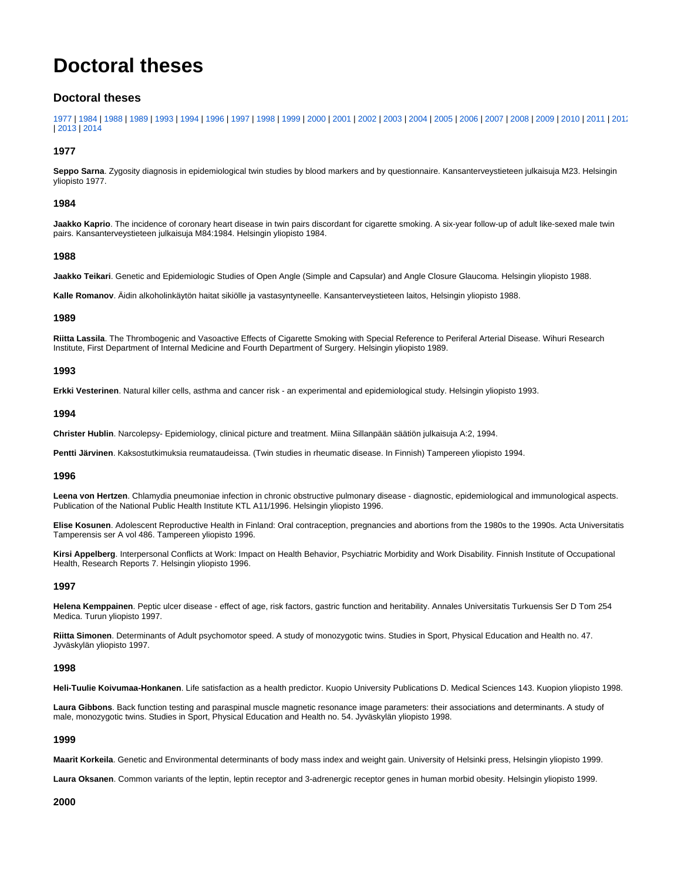# **Doctoral theses**

# **Doctoral theses**

[1977](#page-0-0) | [1984](#page-0-1) | [1988](#page-0-2) | [1989](#page-0-3) | [1993](#page-0-4) | [1994](#page-0-5) | [1996](#page-0-6) | [1997](#page-0-7) | [1998](#page-0-8) | [1999](#page-0-9) | [2000](#page-0-10) | [2001](#page-1-0) | [2002](#page-1-1) | [2003](#page-1-2) | [2004](#page-1-3) | [2005](#page-1-4) | [2006](#page-1-5) | [2007](#page-2-0) | [2008](#page-2-1) | [2009](#page-2-2) | [2010](#page-2-3) | [2011](#page-2-4) | [2012](#page-3-0) | [2013](#page-3-1) | [2014](#page-3-2)

# <span id="page-0-0"></span>**1977**

**Seppo Sarna**. Zygosity diagnosis in epidemiological twin studies by blood markers and by questionnaire. Kansanterveystieteen julkaisuja M23. Helsingin yliopisto 1977.

# <span id="page-0-1"></span>**1984**

**Jaakko Kaprio**. The incidence of coronary heart disease in twin pairs discordant for cigarette smoking. A six-year follow-up of adult like-sexed male twin pairs. Kansanterveystieteen julkaisuja M84:1984. Helsingin yliopisto 1984.

## <span id="page-0-2"></span>**1988**

**Jaakko Teikari**. Genetic and Epidemiologic Studies of Open Angle (Simple and Capsular) and Angle Closure Glaucoma. Helsingin yliopisto 1988.

**Kalle Romanov**. Äidin alkoholinkäytön haitat sikiölle ja vastasyntyneelle. Kansanterveystieteen laitos, Helsingin yliopisto 1988.

# <span id="page-0-3"></span>**1989**

**Riitta Lassila**. The Thrombogenic and Vasoactive Effects of Cigarette Smoking with Special Reference to Periferal Arterial Disease. Wihuri Research Institute, First Department of Internal Medicine and Fourth Department of Surgery. Helsingin yliopisto 1989.

#### <span id="page-0-4"></span>**1993**

**Erkki Vesterinen**. Natural killer cells, asthma and cancer risk - an experimental and epidemiological study. Helsingin yliopisto 1993.

#### <span id="page-0-5"></span>**1994**

**Christer Hublin**. Narcolepsy- Epidemiology, clinical picture and treatment. Miina Sillanpään säätiön julkaisuja A:2, 1994.

**Pentti Järvinen**. Kaksostutkimuksia reumataudeissa. (Twin studies in rheumatic disease. In Finnish) Tampereen yliopisto 1994.

# <span id="page-0-6"></span>**1996**

**Leena von Hertzen**. Chlamydia pneumoniae infection in chronic obstructive pulmonary disease - diagnostic, epidemiological and immunological aspects. Publication of the National Public Health Institute KTL A11/1996. Helsingin yliopisto 1996.

**Elise Kosunen**. Adolescent Reproductive Health in Finland: Oral contraception, pregnancies and abortions from the 1980s to the 1990s. Acta Universitatis Tamperensis ser A vol 486. Tampereen yliopisto 1996.

**Kirsi Appelberg**. Interpersonal Conflicts at Work: Impact on Health Behavior, Psychiatric Morbidity and Work Disability. Finnish Institute of Occupational Health, Research Reports 7. Helsingin yliopisto 1996.

# <span id="page-0-7"></span>**1997**

**Helena Kemppainen**. Peptic ulcer disease - effect of age, risk factors, gastric function and heritability. Annales Universitatis Turkuensis Ser D Tom 254 Medica. Turun yliopisto 1997.

**Riitta Simonen**. Determinants of Adult psychomotor speed. A study of monozygotic twins. Studies in Sport, Physical Education and Health no. 47. Jyväskylän yliopisto 1997.

#### <span id="page-0-8"></span>**1998**

**Heli-Tuulie Koivumaa-Honkanen**. Life satisfaction as a health predictor. Kuopio University Publications D. Medical Sciences 143. Kuopion yliopisto 1998.

**Laura Gibbons**. Back function testing and paraspinal muscle magnetic resonance image parameters: their associations and determinants. A study of male, monozygotic twins. Studies in Sport, Physical Education and Health no. 54. Jyväskylän yliopisto 1998.

# <span id="page-0-9"></span>**1999**

**Maarit Korkeila**. Genetic and Environmental determinants of body mass index and weight gain. University of Helsinki press, Helsingin yliopisto 1999.

**Laura Oksanen**. Common variants of the leptin, leptin receptor and 3-adrenergic receptor genes in human morbid obesity. Helsingin yliopisto 1999.

# <span id="page-0-10"></span>**2000**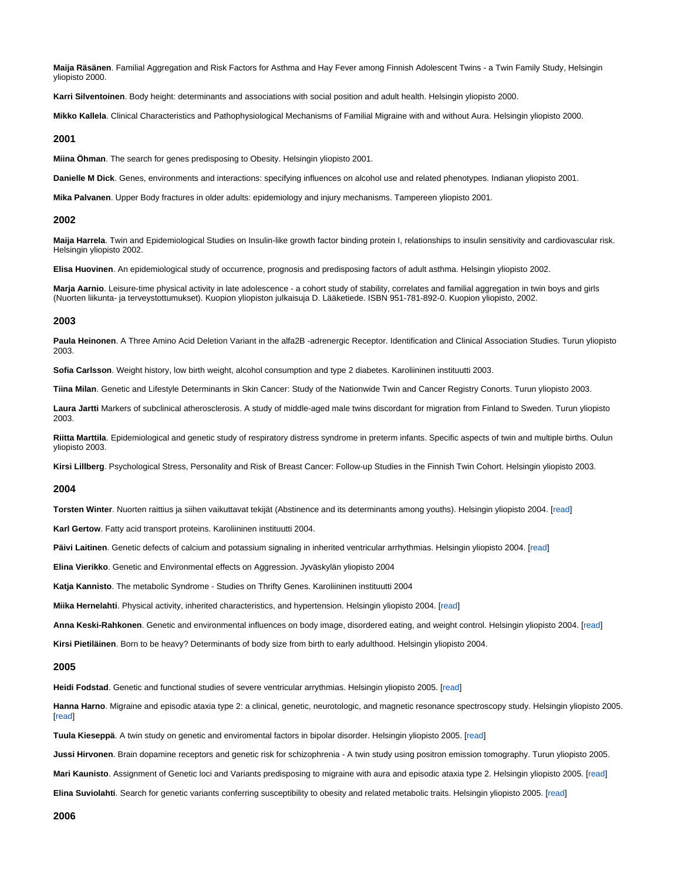**Maija Räsänen**. Familial Aggregation and Risk Factors for Asthma and Hay Fever among Finnish Adolescent Twins - a Twin Family Study, Helsingin yliopisto 2000.

**Karri Silventoinen**. Body height: determinants and associations with social position and adult health. Helsingin yliopisto 2000.

**Mikko Kallela**. Clinical Characteristics and Pathophysiological Mechanisms of Familial Migraine with and without Aura. Helsingin yliopisto 2000.

#### <span id="page-1-0"></span>**2001**

**Miina Öhman**. The search for genes predisposing to Obesity. Helsingin yliopisto 2001.

**Danielle M Dick**. Genes, environments and interactions: specifying influences on alcohol use and related phenotypes. Indianan yliopisto 2001.

**Mika Palvanen**. Upper Body fractures in older adults: epidemiology and injury mechanisms. Tampereen yliopisto 2001.

#### <span id="page-1-1"></span>**2002**

**Maija Harrela**. Twin and Epidemiological Studies on Insulin-like growth factor binding protein I, relationships to insulin sensitivity and cardiovascular risk. Helsingin yliopisto 2002.

**Elisa Huovinen**. An epidemiological study of occurrence, prognosis and predisposing factors of adult asthma. Helsingin yliopisto 2002.

**Marja Aarnio**. Leisure-time physical activity in late adolescence - a cohort study of stability, correlates and familial aggregation in twin boys and girls (Nuorten liikunta- ja terveystottumukset). Kuopion yliopiston julkaisuja D. Lääketiede. ISBN 951-781-892-0. Kuopion yliopisto, 2002.

# <span id="page-1-2"></span>**2003**

**Paula Heinonen**. A Three Amino Acid Deletion Variant in the alfa2B -adrenergic Receptor. Identification and Clinical Association Studies. Turun yliopisto 2003.

**Sofia Carlsson**. Weight history, low birth weight, alcohol consumption and type 2 diabetes. Karoliininen instituutti 2003.

**Tiina Milan**. Genetic and Lifestyle Determinants in Skin Cancer: Study of the Nationwide Twin and Cancer Registry Conorts. Turun yliopisto 2003.

**Laura Jartti** Markers of subclinical atherosclerosis. A study of middle-aged male twins discordant for migration from Finland to Sweden. Turun yliopisto 2003.

**Riitta Marttila**. Epidemiological and genetic study of respiratory distress syndrome in preterm infants. Specific aspects of twin and multiple births. Oulun yliopisto 2003.

**Kirsi Lillberg**. Psychological Stress, Personality and Risk of Breast Cancer: Follow-up Studies in the Finnish Twin Cohort. Helsingin yliopisto 2003.

#### <span id="page-1-3"></span>**2004**

**Torsten Winter**. Nuorten raittius ja siihen vaikuttavat tekijät (Abstinence and its determinants among youths). Helsingin yliopisto 2004. [\[read](http://urn.fi/URN:ISBN:952-10-1592-6)]

**Karl Gertow**. Fatty acid transport proteins. Karoliininen instituutti 2004.

**Päivi Laitinen**. Genetic defects of calcium and potassium signaling in inherited ventricular arrhythmias. Helsingin yliopisto 2004. [[read](http://urn.fi/URN:ISBN:952-10-1721-X)]

**Elina Vierikko**. Genetic and Environmental effects on Aggression. Jyväskylän yliopisto 2004

**Katja Kannisto**. The metabolic Syndrome - Studies on Thrifty Genes. Karoliininen instituutti 2004

**Miika Hernelahti**. Physical activity, inherited characteristics, and hypertension. Helsingin yliopisto 2004. [\[read\]](http://urn.fi/URN:ISBN:952-10-2091-1)

**Anna Keski-Rahkonen**. Genetic and environmental influences on body image, disordered eating, and weight control. Helsingin yliopisto 2004. [[read\]](http://urn.fi/URN:ISBN:952-10-2143-8)

**Kirsi Pietiläinen**. Born to be heavy? Determinants of body size from birth to early adulthood. Helsingin yliopisto 2004.

# <span id="page-1-4"></span>**2005**

**Heidi Fodstad**. Genetic and functional studies of severe ventricular arrythmias. Helsingin yliopisto 2005. [\[read](http://urn.fi/URN:ISBN:952-10-2602-2)]

Hanna Harno. Migraine and episodic ataxia type 2: a clinical, genetic, neurotologic, and magnetic resonance spectroscopy study. Helsingin yliopisto 2005. **I**read]

**Tuula Kieseppä**. A twin study on genetic and enviromental factors in bipolar disorder. Helsingin yliopisto 2005. [[read\]](http://urn.fi/URN:ISBN:951-740-563-4)

**Jussi Hirvonen**. Brain dopamine receptors and genetic risk for schizophrenia - A twin study using positron emission tomography. Turun yliopisto 2005.

**Mari Kaunisto**. Assignment of Genetic loci and Variants predisposing to migraine with aura and episodic ataxia type 2. Helsingin yliopisto 2005. [\[read](http://urn.fi/URN:ISBN:952-10-2709-6)]

<span id="page-1-5"></span>**Elina Suviolahti**. Search for genetic variants conferring susceptibility to obesity and related metabolic traits. Helsingin yliopisto 2005. [[read\]](http://urn.fi/URN:ISBN:951-740-577-4)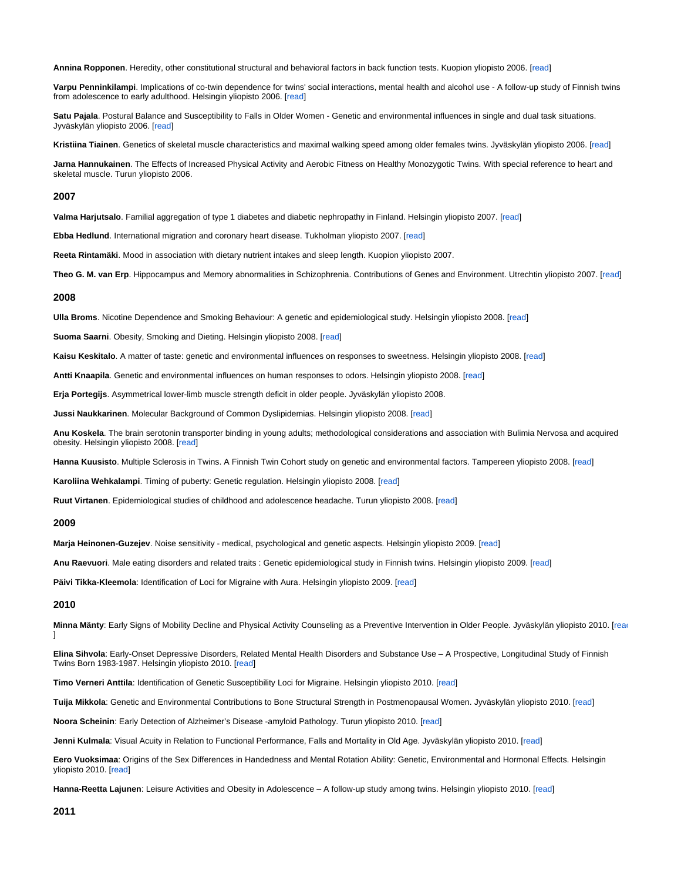**Annina Ropponen**. Heredity, other constitutional structural and behavioral factors in back function tests. Kuopion yliopisto 2006. [[read\]](http://julkaisut.jyu.fi/?id=951-39-2396-7)

**Varpu Penninkilampi**. Implications of co-twin dependence for twins' social interactions, mental health and alcohol use - A follow-up study of Finnish twins from adolescence to early adulthood. Helsingin yliopisto 2006. [\[read](http://urn.fi/URN:ISBN:952-10-3194-8)]

**Satu Pajala**. Postural Balance and Susceptibility to Falls in Older Women - Genetic and environmental influences in single and dual task situations. Jyväskylän yliopisto 2006. [[read\]](http://julkaisut.jyu.fi/?id=951-39-2572-2)

**Kristiina Tiainen**. Genetics of skeletal muscle characteristics and maximal walking speed among older females twins. Jyväskylän yliopisto 2006. [\[read](http://julkaisut.jyu.fi/?id=951-39-2653-2)]

**Jarna Hannukainen**. The Effects of Increased Physical Activity and Aerobic Fitness on Healthy Monozygotic Twins. With special reference to heart and skeletal muscle. Turun yliopisto 2006.

### <span id="page-2-0"></span>**2007**

**Valma Harjutsalo**. Familial aggregation of type 1 diabetes and diabetic nephropathy in Finland. Helsingin yliopisto 2007. [[read\]](http://urn.fi/URN:ISBN:978-951-740-647-5)

**Ebba Hedlund**. International migration and coronary heart disease. Tukholman yliopisto 2007. [\[read](http://diss.kib.ki.se/2007/978-91-7357-329-0/)]

**Reeta Rintamäki**. Mood in association with dietary nutrient intakes and sleep length. Kuopion yliopisto 2007.

**Theo G. M. van Erp**. Hippocampus and Memory abnormalities in Schizophrenia. Contributions of Genes and Environment. Utrechtin yliopisto 2007. [[read](http://igitur-archive.library.uu.nl/dissertations/2007-0511-200343)]

#### <span id="page-2-1"></span>**2008**

**Ulla Broms**. Nicotine Dependence and Smoking Behaviour: A genetic and epidemiological study. Helsingin yliopisto 2008. [\[read](http://urn.fi/URN:ISBN:978-952-10-1378-2)]

**Suoma Saarni**. Obesity, Smoking and Dieting. Helsingin yliopisto 2008. [\[read](http://urn.fi/URN:ISBN:978-952-10-1376-8)]

**Kaisu Keskitalo**. A matter of taste: genetic and environmental influences on responses to sweetness. Helsingin yliopisto 2008. [\[read](http://urn.fi/URN:ISBN:978-951-740-782-3)]

**Antti Knaapila**. Genetic and environmental influences on human responses to odors. Helsingin yliopisto 2008. [[read\]](http://urn.fi/URN:ISBN:978-951-740-837-0)

**Erja Portegijs**. Asymmetrical lower-limb muscle strength deficit in older people. Jyväskylän yliopisto 2008.

**Jussi Naukkarinen**. Molecular Background of Common Dyslipidemias. Helsingin yliopisto 2008. [\[read\]](http://urn.fi/URN:ISBN:951-740-774-8)

**Anu Koskela**. The brain serotonin transporter binding in young adults; methodological considerations and association with Bulimia Nervosa and acquired obesity. Helsingin yliopisto 2008. [[read](http://urn.fi/URN:ISBN:978-952-10-4923-1)]

**Hanna Kuusisto**. Multiple Sclerosis in Twins. A Finnish Twin Cohort study on genetic and environmental factors. Tampereen yliopisto 2008. [[read\]](http://acta.uta.fi/teos.php?id=11105)

**Karoliina Wehkalampi**. Timing of puberty: Genetic regulation. Helsingin yliopisto 2008. [\[read](http://urn.fi/URN:ISBN:978-952-10-5124-1)]

**Ruut Virtanen**. Epidemiological studies of childhood and adolescence headache. Turun yliopisto 2008. [\[read](https://oa.doria.fi/handle/10024/42195)]

# <span id="page-2-2"></span>**2009**

**Marja Heinonen-Guzejev**. Noise sensitivity - medical, psychological and genetic aspects. Helsingin yliopisto 2009. [[read\]](http://urn.fi/URN:ISBN:978-952-10-5177-7)

**Anu Raevuori**. Male eating disorders and related traits : Genetic epidemiological study in Finnish twins. Helsingin yliopisto 2009. [\[read](http://urn.fi/URN:ISBN:978-952-10-4857-9)]

**Päivi Tikka-Kleemola**: Identification of Loci for Migraine with Aura. Helsingin yliopisto 2009. [\[read](http://urn.fi/URN:ISBN:978-952-10-5607-9)]

# <span id="page-2-3"></span>**2010**

 $\mathbf{1}$ 

Minna Mänty: Early Signs of Mobility Decline and Physical Activity Counseling as a Preventive Intervention in Older People. Jyväskylän yliopisto 2010. [\[read](http://urn.fi/URN:ISBN:978-951-39-3882-6)

**Elina Sihvola**: Early-Onset Depressive Disorders, Related Mental Health Disorders and Substance Use – A Prospective, Longitudinal Study of Finnish Twins Born 1983-1987. Helsingin yliopisto 2010. [[read\]](http://urn.fi/URN:ISBN:978-952-10-4860-9)

**Timo Verneri Anttila**: Identification of Genetic Susceptibility Loci for Migraine. Helsingin yliopisto 2010. [\[read](http://urn.fi/URN:ISBN:978-952-10-6337-4)]

**Tuija Mikkola**: Genetic and Environmental Contributions to Bone Structural Strength in Postmenopausal Women. Jyväskylän yliopisto 2010. [\[read](http://urn.fi/URN:ISBN:978-951-39-4069-0)]

**Noora Scheinin**: Early Detection of Alzheimer's Disease -amyloid Pathology. Turun yliopisto 2010. [\[read](http://urn.fi/URN:ISBN:978-951-29-4288-6)]

**Jenni Kulmala**: Visual Acuity in Relation to Functional Performance, Falls and Mortality in Old Age. Jyväskylän yliopisto 2010. [[read\]](http://urn.fi/URN:ISBN:978-951-39-3958-8)

**Eero Vuoksimaa**: Origins of the Sex Differences in Handedness and Mental Rotation Ability: Genetic, Environmental and Hormonal Effects. Helsingin yliopisto 2010. [\[read](http://urn.fi/URN:ISBN:978-952-10-6654-2)]

<span id="page-2-4"></span>**Hanna-Reetta Lajunen**: Leisure Activities and Obesity in Adolescence – A follow-up study among twins. Helsingin yliopisto 2010. [[read\]](http://urn.fi/URN:ISBN:978-952-10-4862-3)